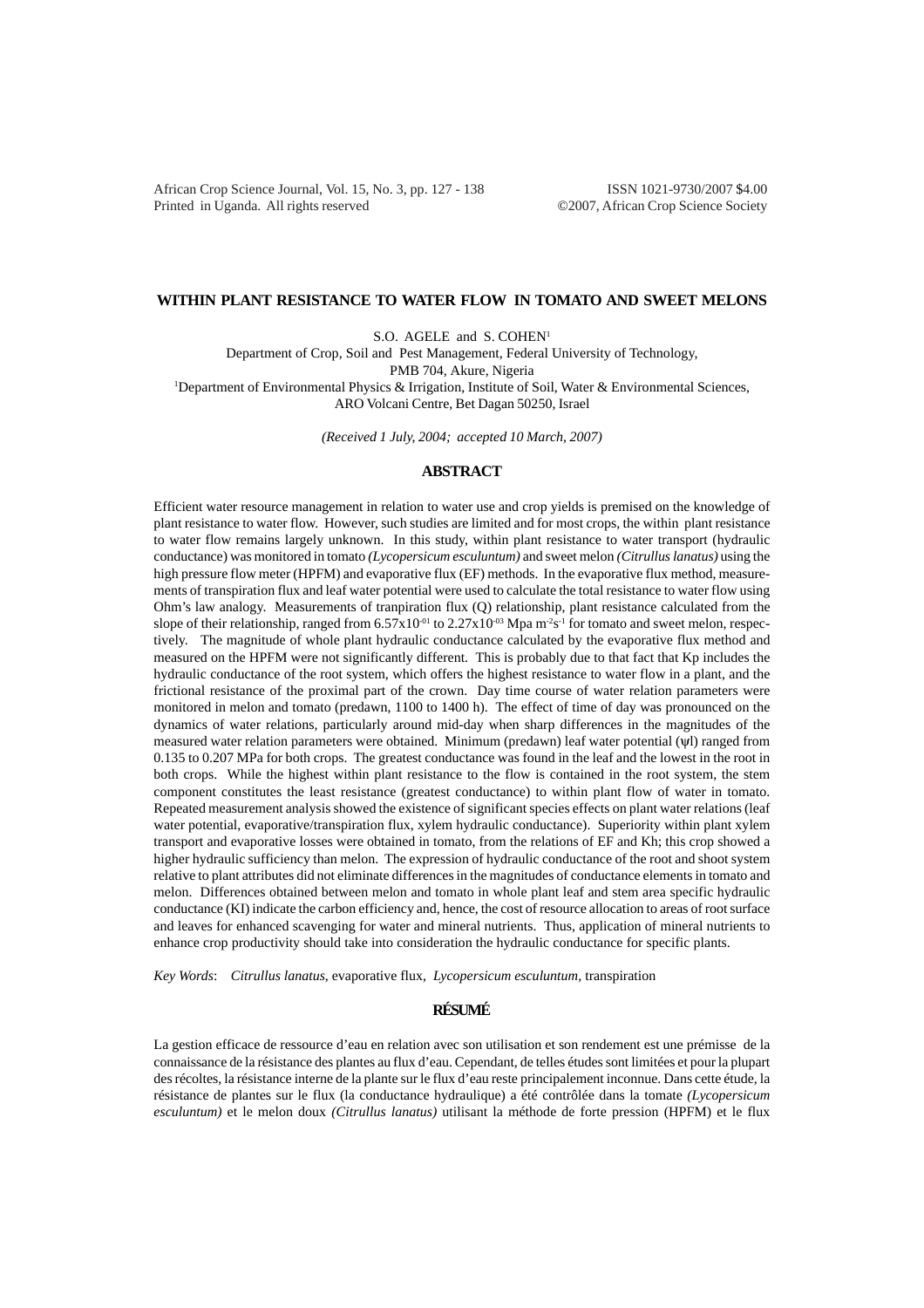African Crop Science Journal, Vol. 15, No. 3, pp. 127 - 138 ISSN 1021-9730/2007 \$4.00 Printed in Uganda. All rights reserved ©2007, African Crop Science Society

## **WITHIN PLANT RESISTANCE TO WATER FLOW IN TOMATO AND SWEET MELONS**

S.O. AGELE and S. COHEN<sup>1</sup>

Department of Crop, Soil and Pest Management, Federal University of Technology, PMB 704, Akure, Nigeria 1 Department of Environmental Physics & Irrigation, Institute of Soil, Water & Environmental Sciences,

ARO Volcani Centre, Bet Dagan 50250, Israel

*(Received 1 July, 2004; accepted 10 March, 2007)*

## **ABSTRACT**

Efficient water resource management in relation to water use and crop yields is premised on the knowledge of plant resistance to water flow. However, such studies are limited and for most crops, the within plant resistance to water flow remains largely unknown. In this study, within plant resistance to water transport (hydraulic conductance) was monitored in tomato *(Lycopersicum esculuntum)* and sweet melon *(Citrullus lanatus)* using the high pressure flow meter (HPFM) and evaporative flux (EF) methods. In the evaporative flux method, measurements of transpiration flux and leaf water potential were used to calculate the total resistance to water flow using Ohm's law analogy. Measurements of tranpiration flux (Q) relationship, plant resistance calculated from the slope of their relationship, ranged from  $6.57 \times 10^{-01}$  to  $2.27 \times 10^{-03}$  Mpa m<sup>-2</sup>s<sup>-1</sup> for tomato and sweet melon, respectively. The magnitude of whole plant hydraulic conductance calculated by the evaporative flux method and measured on the HPFM were not significantly different. This is probably due to that fact that Kp includes the hydraulic conductance of the root system, which offers the highest resistance to water flow in a plant, and the frictional resistance of the proximal part of the crown. Day time course of water relation parameters were monitored in melon and tomato (predawn, 1100 to 1400 h). The effect of time of day was pronounced on the dynamics of water relations, particularly around mid-day when sharp differences in the magnitudes of the measured water relation parameters were obtained. Minimum (predawn) leaf water potential (ψl) ranged from 0.135 to 0.207 MPa for both crops. The greatest conductance was found in the leaf and the lowest in the root in both crops. While the highest within plant resistance to the flow is contained in the root system, the stem component constitutes the least resistance (greatest conductance) to within plant flow of water in tomato. Repeated measurement analysis showed the existence of significant species effects on plant water relations (leaf water potential, evaporative/transpiration flux, xylem hydraulic conductance). Superiority within plant xylem transport and evaporative losses were obtained in tomato, from the relations of EF and Kh; this crop showed a higher hydraulic sufficiency than melon. The expression of hydraulic conductance of the root and shoot system relative to plant attributes did not eliminate differences in the magnitudes of conductance elements in tomato and melon. Differences obtained between melon and tomato in whole plant leaf and stem area specific hydraulic conductance (KI) indicate the carbon efficiency and, hence, the cost of resource allocation to areas of root surface and leaves for enhanced scavenging for water and mineral nutrients. Thus, application of mineral nutrients to enhance crop productivity should take into consideration the hydraulic conductance for specific plants.

*Key Words*: *Citrullus lanatus*, evaporative flux, *Lycopersicum esculuntum,* transpiration

## **RÉSUMÉ**

La gestion efficace de ressource d'eau en relation avec son utilisation et son rendement est une prémisse de la connaissance de la résistance des plantes au flux d'eau. Cependant, de telles études sont limitées et pour la plupart des récoltes, la résistance interne de la plante sur le flux d'eau reste principalement inconnue. Dans cette étude, la résistance de plantes sur le flux (la conductance hydraulique) a été contrôlée dans la tomate *(Lycopersicum esculuntum)* et le melon doux *(Citrullus lanatus)* utilisant la méthode de forte pression (HPFM) et le flux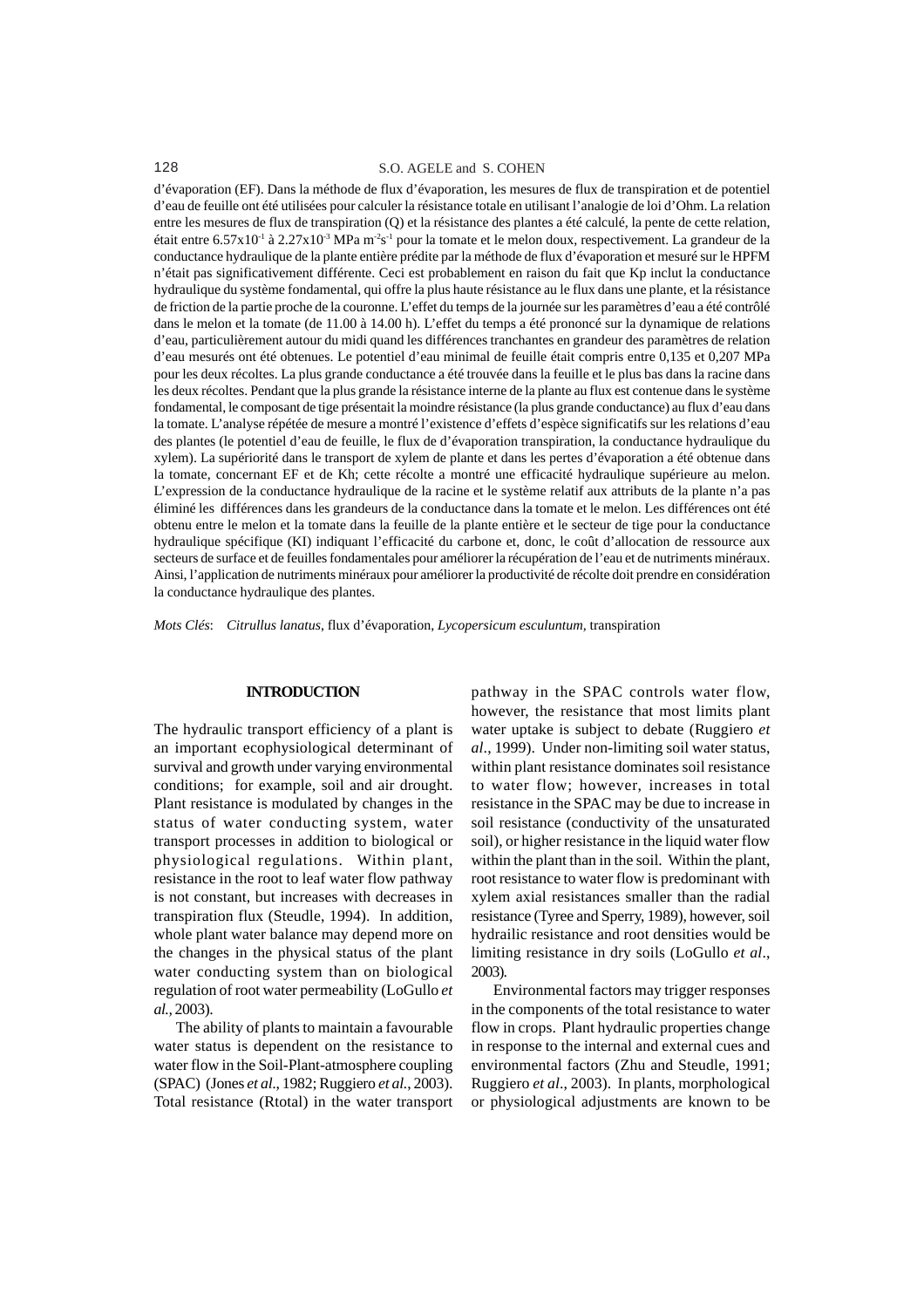## 128 S.O. AGELE and S. COHEN

d'évaporation (EF). Dans la méthode de flux d'évaporation, les mesures de flux de transpiration et de potentiel d'eau de feuille ont été utilisées pour calculer la résistance totale en utilisant l'analogie de loi d'Ohm. La relation entre les mesures de flux de transpiration (Q) et la résistance des plantes a été calculé, la pente de cette relation, était entre 6.57x10<sup>-1</sup> à 2.27x10<sup>-3</sup> MPa m<sup>-2</sup>s<sup>-1</sup> pour la tomate et le melon doux, respectivement. La grandeur de la conductance hydraulique de la plante entière prédite par la méthode de flux d'évaporation et mesuré sur le HPFM n'était pas significativement différente. Ceci est probablement en raison du fait que Kp inclut la conductance hydraulique du système fondamental, qui offre la plus haute résistance au le flux dans une plante, et la résistance de friction de la partie proche de la couronne. L'effet du temps de la journée sur les paramètres d'eau a été contrôlé dans le melon et la tomate (de 11.00 à 14.00 h). L'effet du temps a été prononcé sur la dynamique de relations d'eau, particulièrement autour du midi quand les différences tranchantes en grandeur des paramètres de relation d'eau mesurés ont été obtenues. Le potentiel d'eau minimal de feuille était compris entre 0,135 et 0,207 MPa pour les deux récoltes. La plus grande conductance a été trouvée dans la feuille et le plus bas dans la racine dans les deux récoltes. Pendant que la plus grande la résistance interne de la plante au flux est contenue dans le système fondamental, le composant de tige présentait la moindre résistance (la plus grande conductance) au flux d'eau dans la tomate. L'analyse répétée de mesure a montré l'existence d'effets d'espèce significatifs sur les relations d'eau des plantes (le potentiel d'eau de feuille, le flux de d'évaporation transpiration, la conductance hydraulique du xylem). La supériorité dans le transport de xylem de plante et dans les pertes d'évaporation a été obtenue dans la tomate, concernant EF et de Kh; cette récolte a montré une efficacité hydraulique supérieure au melon. L'expression de la conductance hydraulique de la racine et le système relatif aux attributs de la plante n'a pas éliminé les différences dans les grandeurs de la conductance dans la tomate et le melon. Les différences ont été obtenu entre le melon et la tomate dans la feuille de la plante entière et le secteur de tige pour la conductance hydraulique spécifique (KI) indiquant l'efficacité du carbone et, donc, le coût d'allocation de ressource aux secteurs de surface et de feuilles fondamentales pour améliorer la récupération de l'eau et de nutriments minéraux. Ainsi, l'application de nutriments minéraux pour améliorer la productivité de récolte doit prendre en considération la conductance hydraulique des plantes.

*Mots Clés*: *Citrullus lanatus*, flux d'évaporation, *Lycopersicum esculuntum,* transpiration

## **INTRODUCTION**

The hydraulic transport efficiency of a plant is an important ecophysiological determinant of survival and growth under varying environmental conditions; for example, soil and air drought. Plant resistance is modulated by changes in the status of water conducting system, water transport processes in addition to biological or physiological regulations. Within plant, resistance in the root to leaf water flow pathway is not constant, but increases with decreases in transpiration flux (Steudle, 1994). In addition, whole plant water balance may depend more on the changes in the physical status of the plant water conducting system than on biological regulation of root water permeability (LoGullo *et al.,* 2003).

The ability of plants to maintain a favourable water status is dependent on the resistance to water flow in the Soil-Plant-atmosphere coupling (SPAC) (Jones *et al*., 1982; Ruggiero *et al.*, 2003). Total resistance (Rtotal) in the water transport

pathway in the SPAC controls water flow, however, the resistance that most limits plant water uptake is subject to debate (Ruggiero *et al*., 1999). Under non-limiting soil water status, within plant resistance dominates soil resistance to water flow; however, increases in total resistance in the SPAC may be due to increase in soil resistance (conductivity of the unsaturated soil), or higher resistance in the liquid water flow within the plant than in the soil. Within the plant, root resistance to water flow is predominant with xylem axial resistances smaller than the radial resistance (Tyree and Sperry, 1989), however, soil hydrailic resistance and root densities would be limiting resistance in dry soils (LoGullo *et al*., 2003).

Environmental factors may trigger responses in the components of the total resistance to water flow in crops. Plant hydraulic properties change in response to the internal and external cues and environmental factors (Zhu and Steudle, 1991; Ruggiero *et al*., 2003). In plants, morphological or physiological adjustments are known to be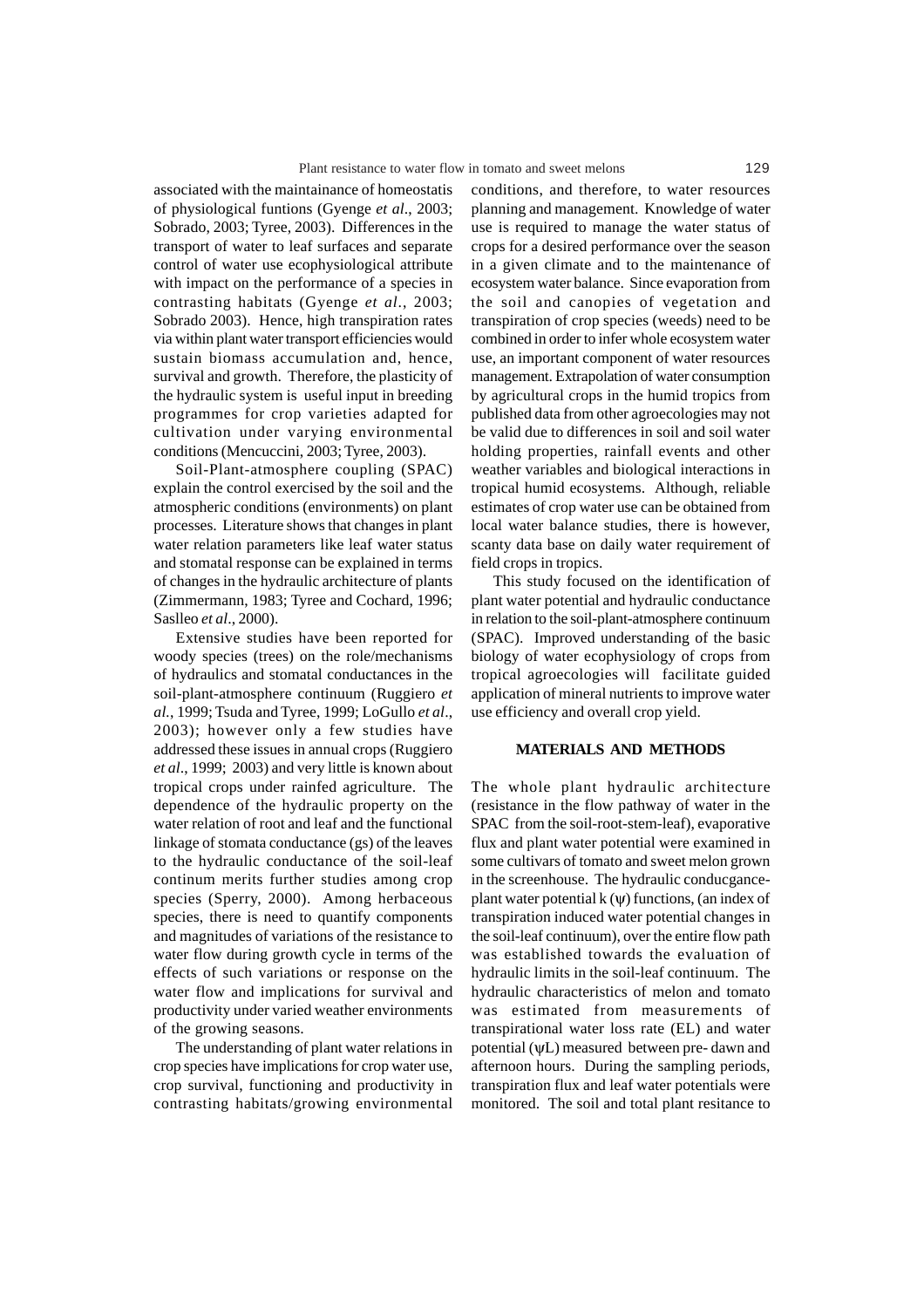associated with the maintainance of homeostatis of physiological funtions (Gyenge *et al*., 2003; Sobrado, 2003; Tyree, 2003). Differences in the transport of water to leaf surfaces and separate control of water use ecophysiological attribute with impact on the performance of a species in contrasting habitats (Gyenge *et al*., 2003; Sobrado 2003). Hence, high transpiration rates via within plant water transport efficiencies would sustain biomass accumulation and, hence, survival and growth. Therefore, the plasticity of the hydraulic system is useful input in breeding programmes for crop varieties adapted for cultivation under varying environmental conditions (Mencuccini, 2003; Tyree, 2003).

Soil-Plant-atmosphere coupling (SPAC) explain the control exercised by the soil and the atmospheric conditions (environments) on plant processes. Literature shows that changes in plant water relation parameters like leaf water status and stomatal response can be explained in terms of changes in the hydraulic architecture of plants (Zimmermann, 1983; Tyree and Cochard, 1996; Saslleo *et al*., 2000).

Extensive studies have been reported for woody species (trees) on the role/mechanisms of hydraulics and stomatal conductances in the soil-plant-atmosphere continuum (Ruggiero *et al.*, 1999; Tsuda and Tyree, 1999; LoGullo *et al*., 2003); however only a few studies have addressed these issues in annual crops (Ruggiero *et al*., 1999; 2003) and very little is known about tropical crops under rainfed agriculture. The dependence of the hydraulic property on the water relation of root and leaf and the functional linkage of stomata conductance (gs) of the leaves to the hydraulic conductance of the soil-leaf continum merits further studies among crop species (Sperry, 2000). Among herbaceous species, there is need to quantify components and magnitudes of variations of the resistance to water flow during growth cycle in terms of the effects of such variations or response on the water flow and implications for survival and productivity under varied weather environments of the growing seasons.

The understanding of plant water relations in crop species have implications for crop water use, crop survival, functioning and productivity in contrasting habitats/growing environmental

conditions, and therefore, to water resources planning and management. Knowledge of water use is required to manage the water status of crops for a desired performance over the season in a given climate and to the maintenance of ecosystem water balance. Since evaporation from the soil and canopies of vegetation and transpiration of crop species (weeds) need to be combined in order to infer whole ecosystem water use, an important component of water resources management. Extrapolation of water consumption by agricultural crops in the humid tropics from published data from other agroecologies may not be valid due to differences in soil and soil water holding properties, rainfall events and other weather variables and biological interactions in tropical humid ecosystems. Although, reliable estimates of crop water use can be obtained from local water balance studies, there is however, scanty data base on daily water requirement of field crops in tropics.

This study focused on the identification of plant water potential and hydraulic conductance in relation to the soil-plant-atmosphere continuum (SPAC). Improved understanding of the basic biology of water ecophysiology of crops from tropical agroecologies will facilitate guided application of mineral nutrients to improve water use efficiency and overall crop yield.

#### **MATERIALS AND METHODS**

The whole plant hydraulic architecture (resistance in the flow pathway of water in the SPAC from the soil-root-stem-leaf), evaporative flux and plant water potential were examined in some cultivars of tomato and sweet melon grown in the screenhouse. The hydraulic conducganceplant water potential  $k(\Psi)$  functions, (an index of transpiration induced water potential changes in the soil-leaf continuum), over the entire flow path was established towards the evaluation of hydraulic limits in the soil-leaf continuum. The hydraulic characteristics of melon and tomato was estimated from measurements of transpirational water loss rate (EL) and water potential (ψL) measured between pre- dawn and afternoon hours. During the sampling periods, transpiration flux and leaf water potentials were monitored. The soil and total plant resitance to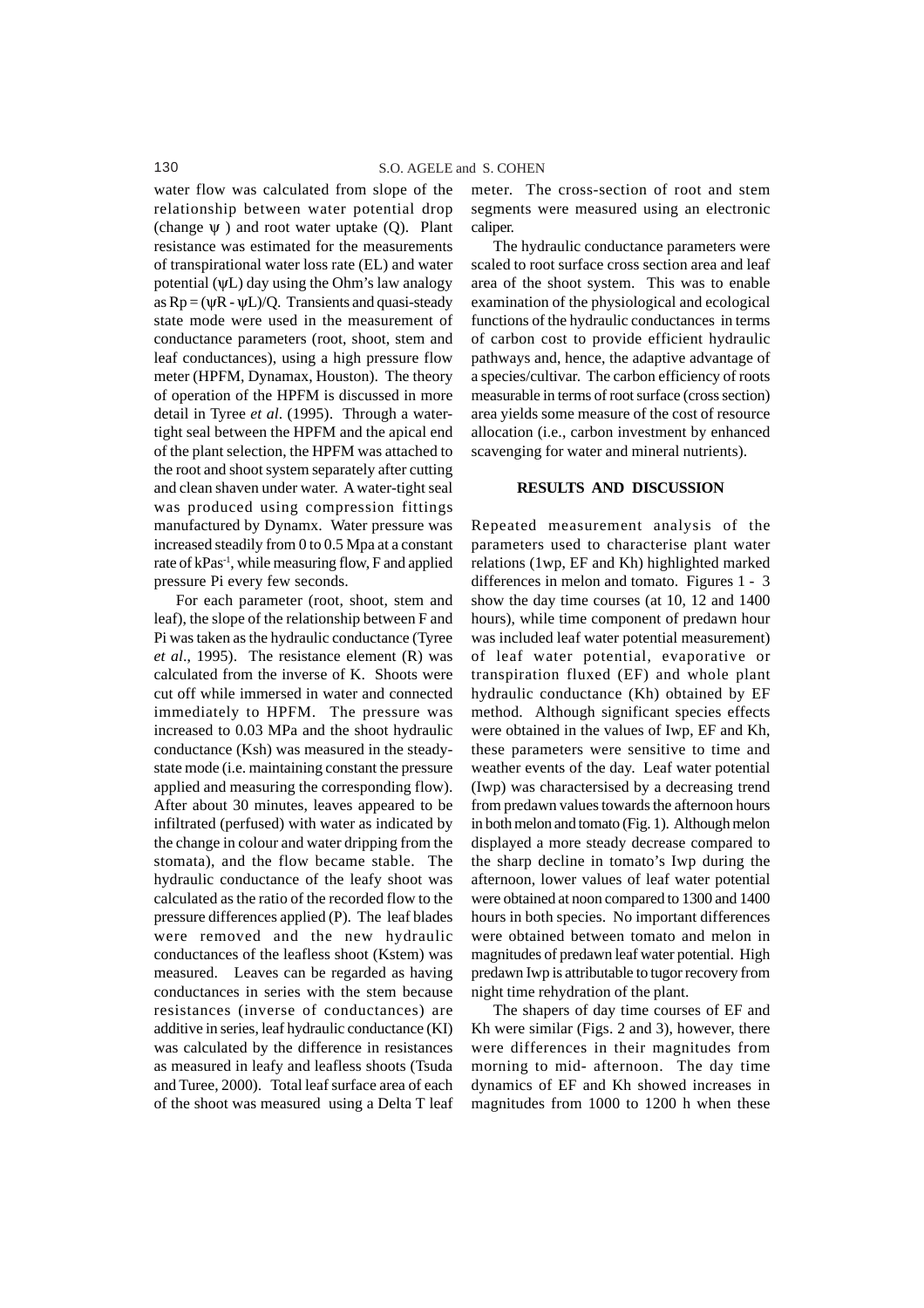water flow was calculated from slope of the relationship between water potential drop (change  $\psi$ ) and root water uptake (Q). Plant resistance was estimated for the measurements of transpirational water loss rate (EL) and water potential (ψL) day using the Ohm's law analogy as  $Rp = (\psi R - \psi L)/Q$ . Transients and quasi-steady state mode were used in the measurement of conductance parameters (root, shoot, stem and leaf conductances), using a high pressure flow meter (HPFM, Dynamax, Houston). The theory of operation of the HPFM is discussed in more detail in Tyree *et al*. (1995). Through a watertight seal between the HPFM and the apical end of the plant selection, the HPFM was attached to the root and shoot system separately after cutting and clean shaven under water. A water-tight seal was produced using compression fittings manufactured by Dynamx. Water pressure was increased steadily from 0 to 0.5 Mpa at a constant rate of kPas-1, while measuring flow, F and applied pressure Pi every few seconds.

For each parameter (root, shoot, stem and leaf), the slope of the relationship between F and Pi was taken as the hydraulic conductance (Tyree *et al*., 1995). The resistance element (R) was calculated from the inverse of K. Shoots were cut off while immersed in water and connected immediately to HPFM. The pressure was increased to 0.03 MPa and the shoot hydraulic conductance (Ksh) was measured in the steadystate mode (i.e. maintaining constant the pressure applied and measuring the corresponding flow). After about 30 minutes, leaves appeared to be infiltrated (perfused) with water as indicated by the change in colour and water dripping from the stomata), and the flow became stable. The hydraulic conductance of the leafy shoot was calculated as the ratio of the recorded flow to the pressure differences applied (P). The leaf blades were removed and the new hydraulic conductances of the leafless shoot (Kstem) was measured. Leaves can be regarded as having conductances in series with the stem because resistances (inverse of conductances) are additive in series, leaf hydraulic conductance (KI) was calculated by the difference in resistances as measured in leafy and leafless shoots (Tsuda and Turee, 2000). Total leaf surface area of each of the shoot was measured using a Delta T leaf meter. The cross-section of root and stem segments were measured using an electronic caliper.

The hydraulic conductance parameters were scaled to root surface cross section area and leaf area of the shoot system. This was to enable examination of the physiological and ecological functions of the hydraulic conductances in terms of carbon cost to provide efficient hydraulic pathways and, hence, the adaptive advantage of a species/cultivar. The carbon efficiency of roots measurable in terms of root surface (cross section) area yields some measure of the cost of resource allocation (i.e., carbon investment by enhanced scavenging for water and mineral nutrients).

# **RESULTS AND DISCUSSION**

Repeated measurement analysis of the parameters used to characterise plant water relations (1wp, EF and Kh) highlighted marked differences in melon and tomato. Figures 1 - 3 show the day time courses (at 10, 12 and 1400 hours), while time component of predawn hour was included leaf water potential measurement) of leaf water potential, evaporative or transpiration fluxed (EF) and whole plant hydraulic conductance (Kh) obtained by EF method. Although significant species effects were obtained in the values of Iwp, EF and Kh, these parameters were sensitive to time and weather events of the day. Leaf water potential (Iwp) was charactersised by a decreasing trend from predawn values towards the afternoon hours in both melon and tomato (Fig. 1). Although melon displayed a more steady decrease compared to the sharp decline in tomato's Iwp during the afternoon, lower values of leaf water potential were obtained at noon compared to 1300 and 1400 hours in both species. No important differences were obtained between tomato and melon in magnitudes of predawn leaf water potential. High predawn Iwp is attributable to tugor recovery from night time rehydration of the plant.

The shapers of day time courses of EF and Kh were similar (Figs. 2 and 3), however, there were differences in their magnitudes from morning to mid- afternoon. The day time dynamics of EF and Kh showed increases in magnitudes from 1000 to 1200 h when these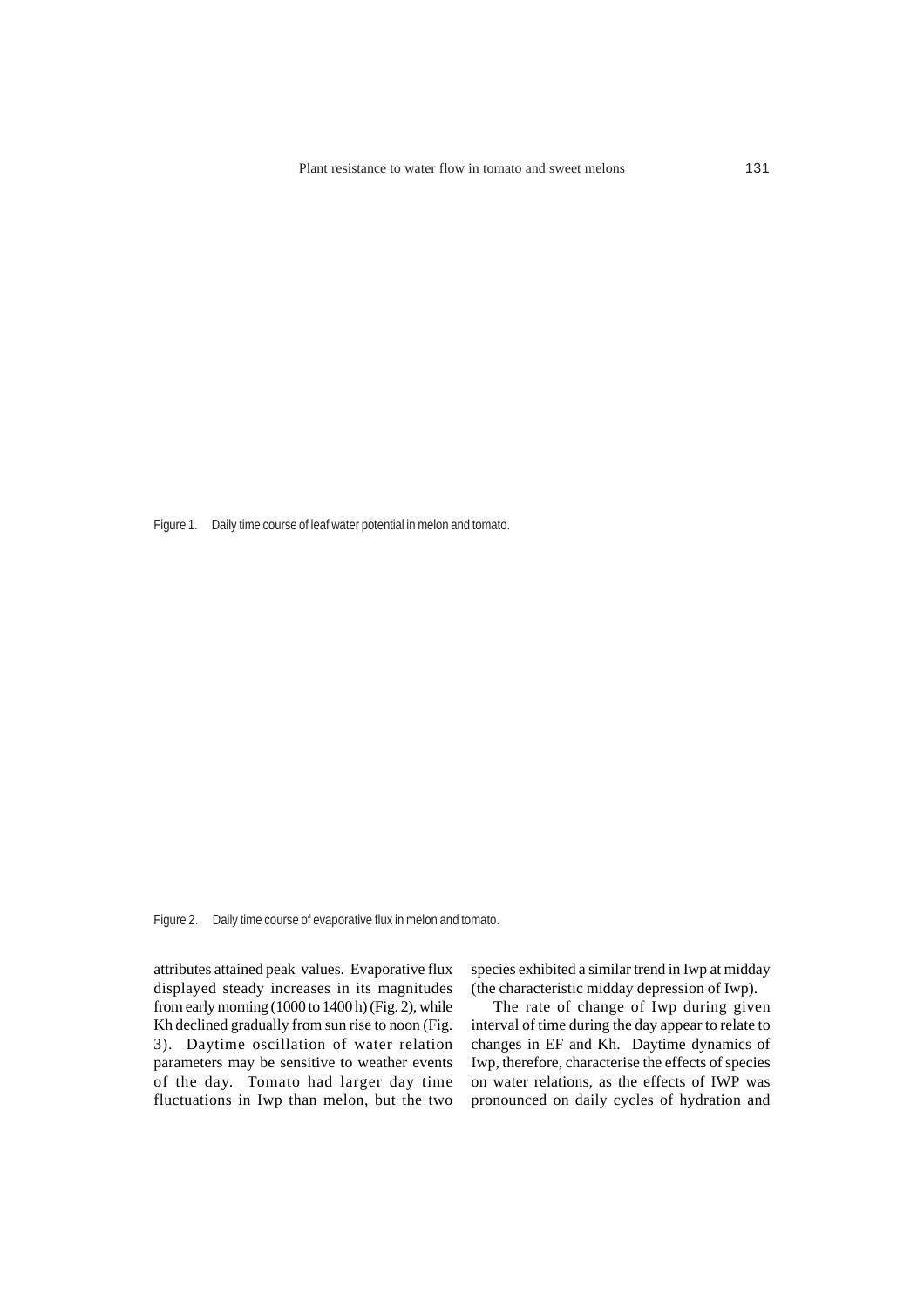Figure 1. Daily time course of leaf water potential in melon and tomato.

Figure 2. Daily time course of evaporative flux in melon and tomato.

attributes attained peak values. Evaporative flux displayed steady increases in its magnitudes from early morning (1000 to 1400 h) (Fig. 2), while Kh declined gradually from sun rise to noon (Fig. 3). Daytime oscillation of water relation parameters may be sensitive to weather events of the day. Tomato had larger day time fluctuations in Iwp than melon, but the two

species exhibited a similar trend in Iwp at midday (the characteristic midday depression of Iwp).

The rate of change of Iwp during given interval of time during the day appear to relate to changes in EF and Kh. Daytime dynamics of Iwp, therefore, characterise the effects of species on water relations, as the effects of IWP was pronounced on daily cycles of hydration and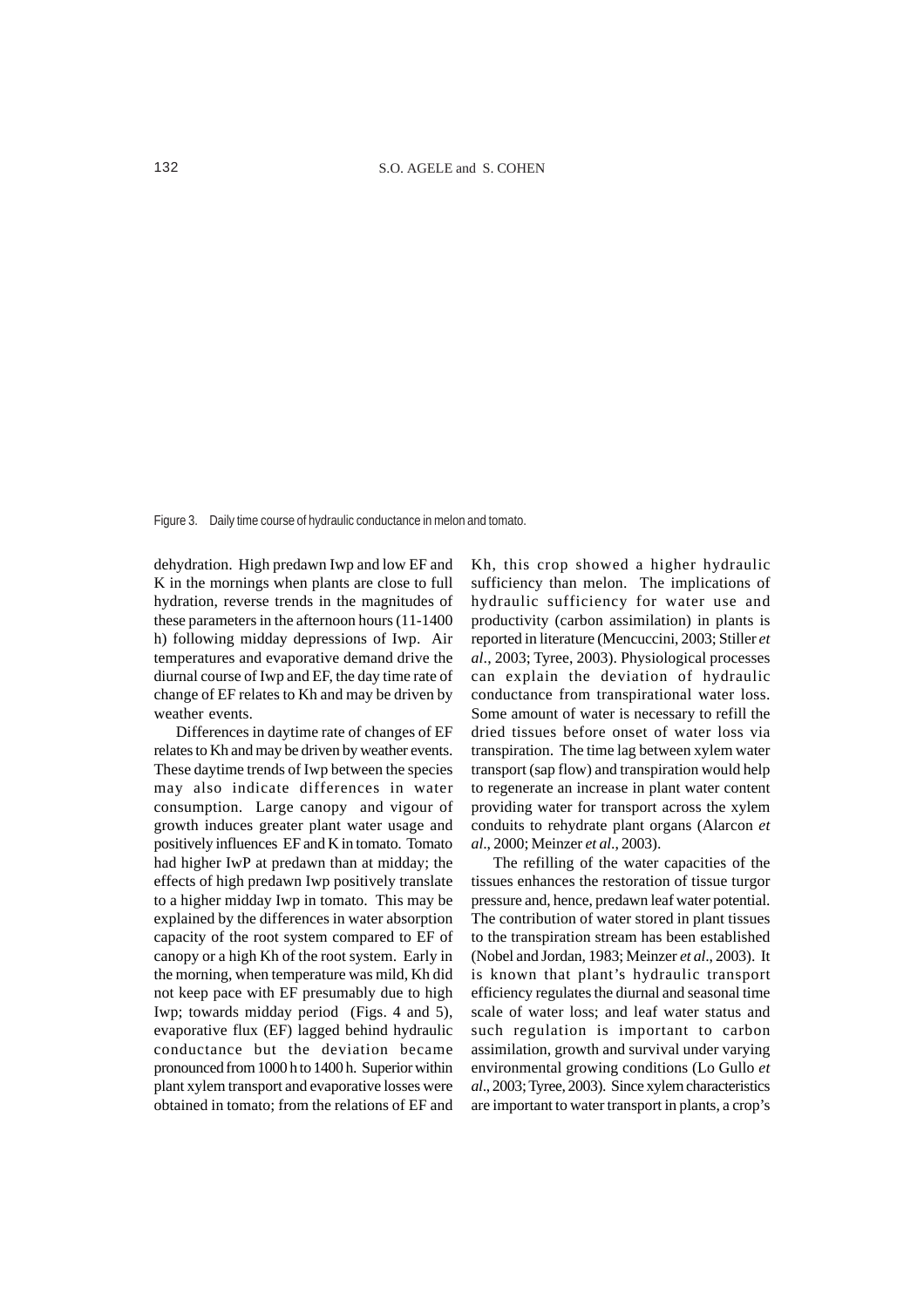Figure 3. Daily time course of hydraulic conductance in melon and tomato.

dehydration. High predawn Iwp and low EF and K in the mornings when plants are close to full hydration, reverse trends in the magnitudes of these parameters in the afternoon hours (11-1400 h) following midday depressions of Iwp. Air temperatures and evaporative demand drive the diurnal course of Iwp and EF, the day time rate of change of EF relates to Kh and may be driven by weather events.

Differences in daytime rate of changes of EF relates to Kh and may be driven by weather events. These daytime trends of Iwp between the species may also indicate differences in water consumption. Large canopy and vigour of growth induces greater plant water usage and positively influences EF and K in tomato. Tomato had higher IwP at predawn than at midday; the effects of high predawn Iwp positively translate to a higher midday Iwp in tomato. This may be explained by the differences in water absorption capacity of the root system compared to EF of canopy or a high Kh of the root system. Early in the morning, when temperature was mild, Kh did not keep pace with EF presumably due to high Iwp; towards midday period (Figs. 4 and 5), evaporative flux (EF) lagged behind hydraulic conductance but the deviation became pronounced from 1000 h to 1400 h. Superior within plant xylem transport and evaporative losses were obtained in tomato; from the relations of EF and Kh, this crop showed a higher hydraulic sufficiency than melon. The implications of hydraulic sufficiency for water use and productivity (carbon assimilation) in plants is reported in literature (Mencuccini, 2003; Stiller *et al*., 2003; Tyree, 2003). Physiological processes can explain the deviation of hydraulic conductance from transpirational water loss. Some amount of water is necessary to refill the dried tissues before onset of water loss via transpiration. The time lag between xylem water transport (sap flow) and transpiration would help to regenerate an increase in plant water content providing water for transport across the xylem conduits to rehydrate plant organs (Alarcon *et al*., 2000; Meinzer *et al*., 2003).

The refilling of the water capacities of the tissues enhances the restoration of tissue turgor pressure and, hence, predawn leaf water potential. The contribution of water stored in plant tissues to the transpiration stream has been established (Nobel and Jordan, 1983; Meinzer *et al*., 2003). It is known that plant's hydraulic transport efficiency regulates the diurnal and seasonal time scale of water loss; and leaf water status and such regulation is important to carbon assimilation, growth and survival under varying environmental growing conditions (Lo Gullo *et al*., 2003; Tyree, 2003). Since xylem characteristics are important to water transport in plants, a crop's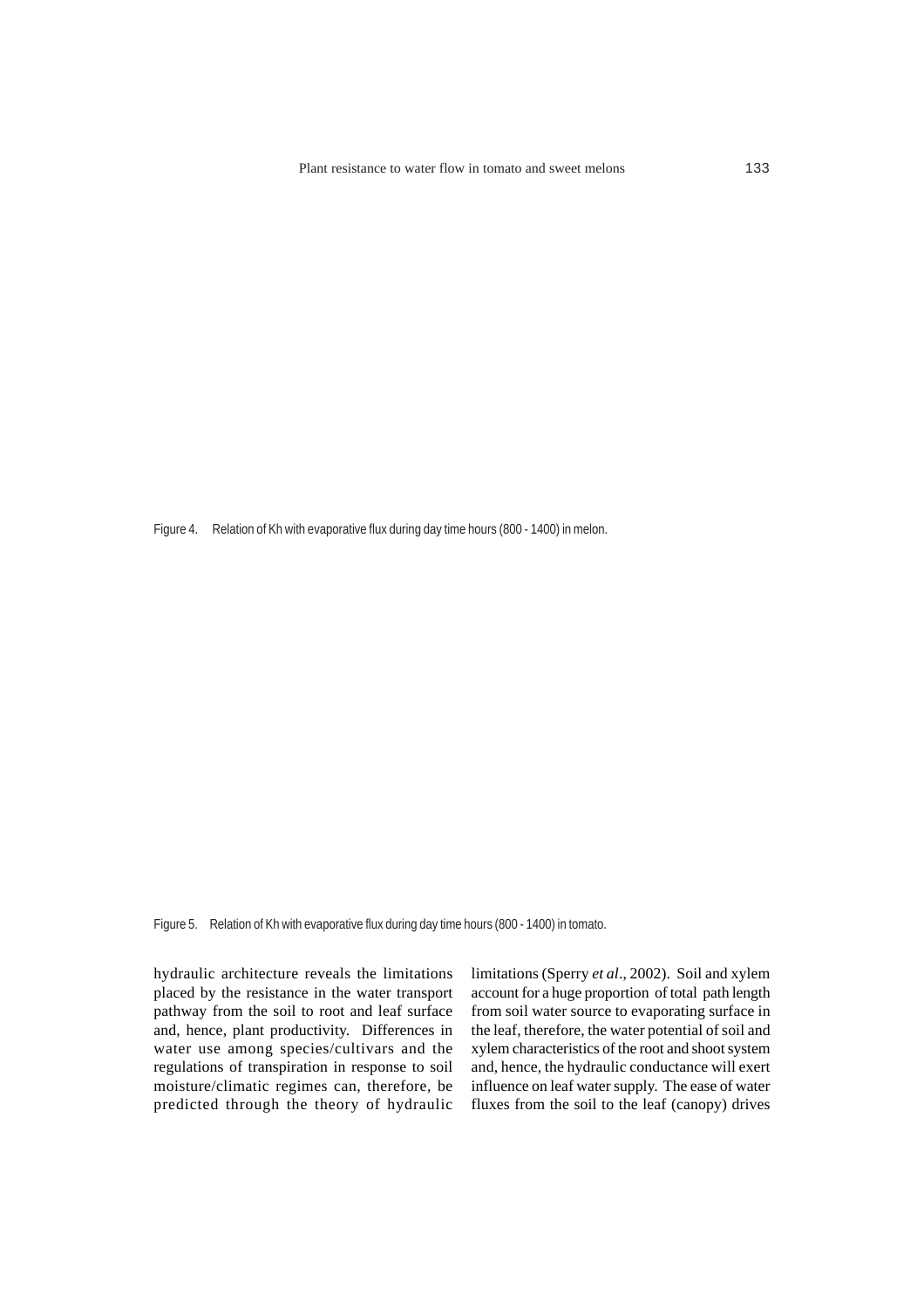Figure 4. Relation of Kh with evaporative flux during day time hours (800 - 1400) in melon.

Figure 5. Relation of Kh with evaporative flux during day time hours (800 - 1400) in tomato.

hydraulic architecture reveals the limitations placed by the resistance in the water transport pathway from the soil to root and leaf surface and, hence, plant productivity. Differences in water use among species/cultivars and the regulations of transpiration in response to soil moisture/climatic regimes can, therefore, be predicted through the theory of hydraulic limitations (Sperry *et al*., 2002). Soil and xylem account for a huge proportion of total path length from soil water source to evaporating surface in the leaf, therefore, the water potential of soil and xylem characteristics of the root and shoot system and, hence, the hydraulic conductance will exert influence on leaf water supply. The ease of water fluxes from the soil to the leaf (canopy) drives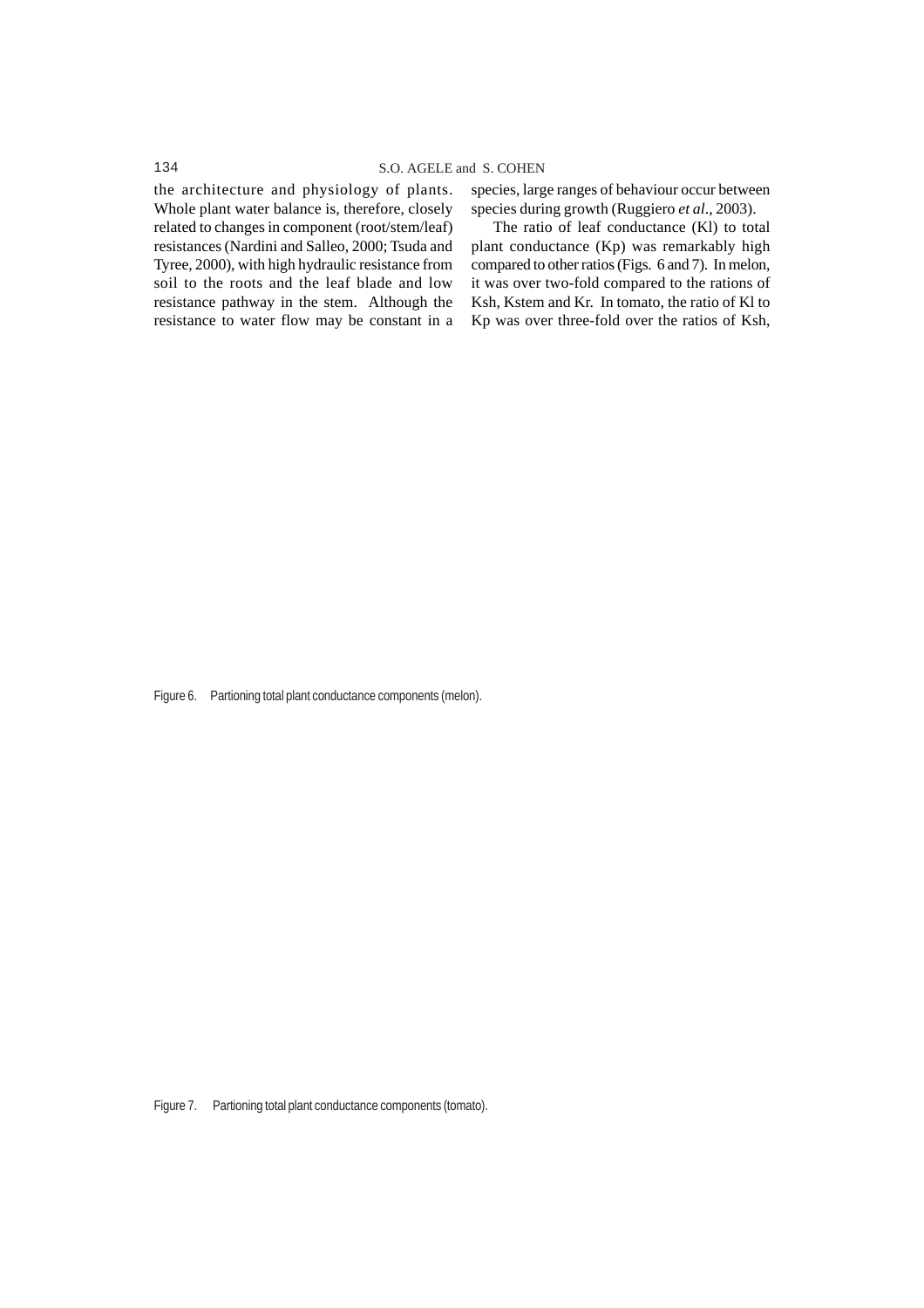the architecture and physiology of plants. Whole plant water balance is, therefore, closely related to changes in component (root/stem/leaf) resistances (Nardini and Salleo, 2000; Tsuda and Tyree, 2000), with high hydraulic resistance from soil to the roots and the leaf blade and low resistance pathway in the stem. Although the resistance to water flow may be constant in a species, large ranges of behaviour occur between species during growth (Ruggiero *et al*., 2003).

The ratio of leaf conductance (Kl) to total plant conductance (Kp) was remarkably high compared to other ratios (Figs. 6 and 7). In melon, it was over two-fold compared to the rations of Ksh, Kstem and Kr. In tomato, the ratio of Kl to Kp was over three-fold over the ratios of Ksh,

Figure 6. Partioning total plant conductance components (melon).

Figure 7. Partioning total plant conductance components (tomato).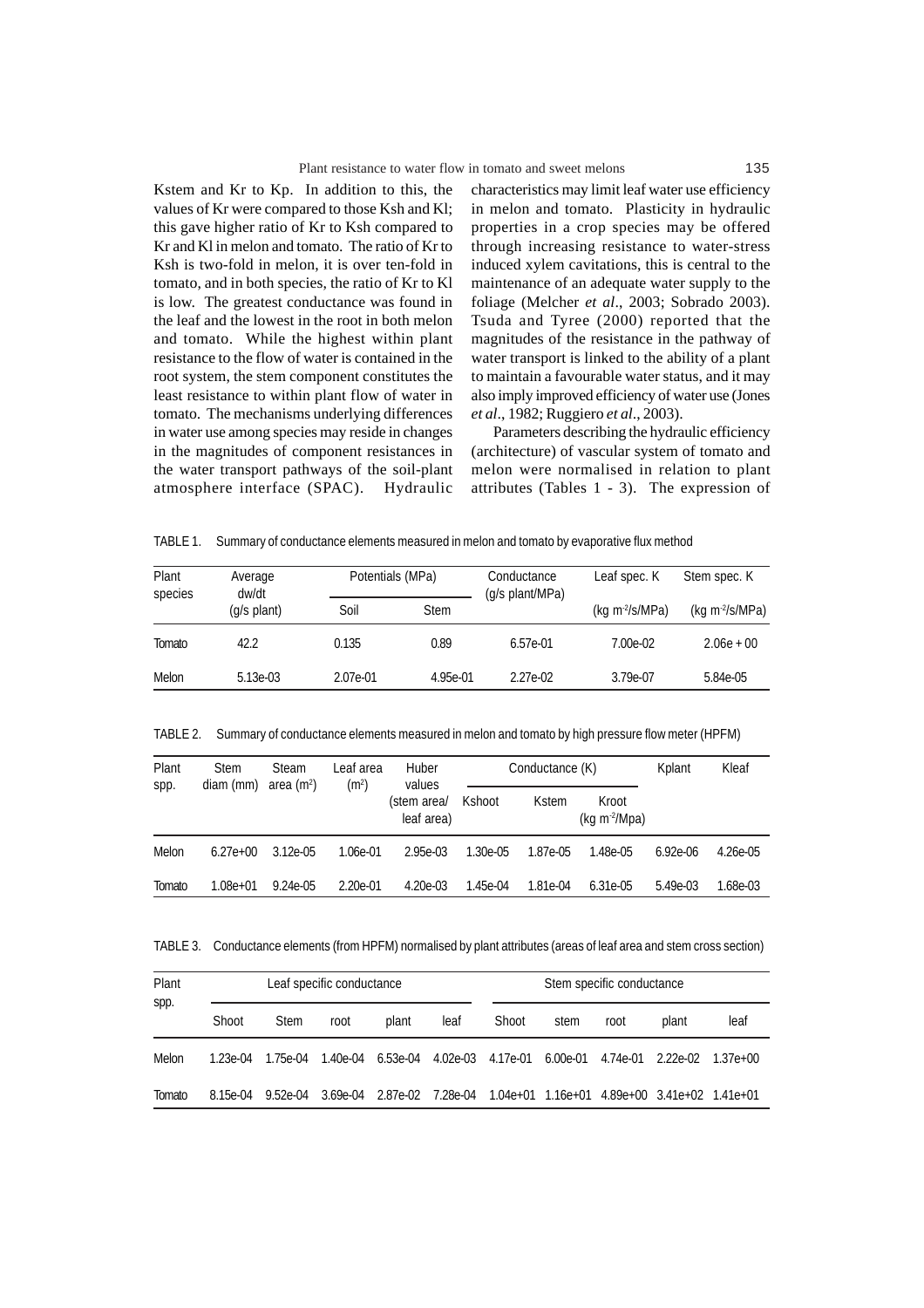Kstem and Kr to Kp. In addition to this, the values of Kr were compared to those Ksh and Kl; this gave higher ratio of Kr to Ksh compared to Kr and Kl in melon and tomato. The ratio of Kr to Ksh is two-fold in melon, it is over ten-fold in tomato, and in both species, the ratio of Kr to Kl is low. The greatest conductance was found in the leaf and the lowest in the root in both melon and tomato. While the highest within plant resistance to the flow of water is contained in the root system, the stem component constitutes the least resistance to within plant flow of water in tomato. The mechanisms underlying differences in water use among species may reside in changes in the magnitudes of component resistances in the water transport pathways of the soil-plant atmosphere interface (SPAC). Hydraulic

characteristics may limit leaf water use efficiency in melon and tomato. Plasticity in hydraulic properties in a crop species may be offered through increasing resistance to water-stress induced xylem cavitations, this is central to the maintenance of an adequate water supply to the foliage (Melcher *et al*., 2003; Sobrado 2003). Tsuda and Tyree (2000) reported that the magnitudes of the resistance in the pathway of water transport is linked to the ability of a plant to maintain a favourable water status, and it may also imply improved efficiency of water use (Jones *et al*., 1982; Ruggiero *et al*., 2003).

Parameters describing the hydraulic efficiency (architecture) of vascular system of tomato and melon were normalised in relation to plant attributes (Tables 1 - 3). The expression of

TABLE 1. Summary of conductance elements measured in melon and tomato by evaporative flux method

| Plant<br>species | Average<br>dw/dt | Potentials (MPa) |             | Conductance<br>(g/s plant/MPa) | Leaf spec. K               | Stem spec. K<br>$($ kg m <sup>2</sup> /s/MPa) |  |
|------------------|------------------|------------------|-------------|--------------------------------|----------------------------|-----------------------------------------------|--|
|                  | (g/s plant)      | Soil             | <b>Stem</b> |                                | (kq m <sup>2</sup> /s/MPa) |                                               |  |
| Tomato           | 42.2             | 0.135            | 0.89        | 6.57e-01                       | 7.00e-02                   | $2.06e + 00$                                  |  |
| Melon            | 5.13e-03         | 2.07e-01         | 4.95e-01    | 2.27e-02                       | 3.79e-07                   | 5.84e-05                                      |  |

TABLE 2. Summary of conductance elements measured in melon and tomato by high pressure flow meter (HPFM)

| Plant<br>spp. | <b>Stem</b><br>diam (mm) | Steam<br>area (m <sup>2</sup> ) | Leaf area<br>(m <sup>2</sup> ) | Huber<br>values<br>(stem area/<br>leaf area) |          | Conductance (K) |                                   |            | Kleaf    |
|---------------|--------------------------|---------------------------------|--------------------------------|----------------------------------------------|----------|-----------------|-----------------------------------|------------|----------|
|               |                          |                                 |                                |                                              | Kshoot   | Kstem           | Kroot<br>(kq m <sup>2</sup> /Mpa) |            |          |
| Melon         | $6.27e+00$               | $3.12e-0.5$                     | 1.06e-01                       | 2.95e-03                                     | 1.30e-05 | 1.87e-05        | 1.48e-05                          | 6.92e-06   | 4.26e-05 |
| Tomato        | $1.08e + 01$             | 9.24e-05                        | 2.20e-01                       | $4.20e-03$                                   | 1.45e-04 | 1.81e-04        | 6.31e-05                          | $5.49e-03$ | 1.68e-03 |

TABLE 3. Conductance elements (from HPFM) normalised by plant attributes (areas of leaf area and stem cross section)

| Plant<br>spp. | Leaf specific conductance |                   |      |       | Stem specific conductance |                                                                                         |      |                            |       |      |
|---------------|---------------------------|-------------------|------|-------|---------------------------|-----------------------------------------------------------------------------------------|------|----------------------------|-------|------|
|               | Shoot                     | <b>Stem</b>       | root | plant | leaf                      | Shoot                                                                                   | stem | root                       | plant | leaf |
| Melon         | 1.23e-04                  | 1.75e-04          |      |       |                           | 1.40e-04    6.53e-04    4.02e-03    4.17e-01    6.00e-01                                |      | 4.74e-01 2.22e-02 1.37e+00 |       |      |
| Tomato        |                           | 8.15e-04 9.52e-04 |      |       |                           | $3.69e-04$ $2.87e-02$ $7.28e-04$ $1.04e+01$ $1.16e+01$ $4.89e+00$ $3.41e+02$ $1.41e+01$ |      |                            |       |      |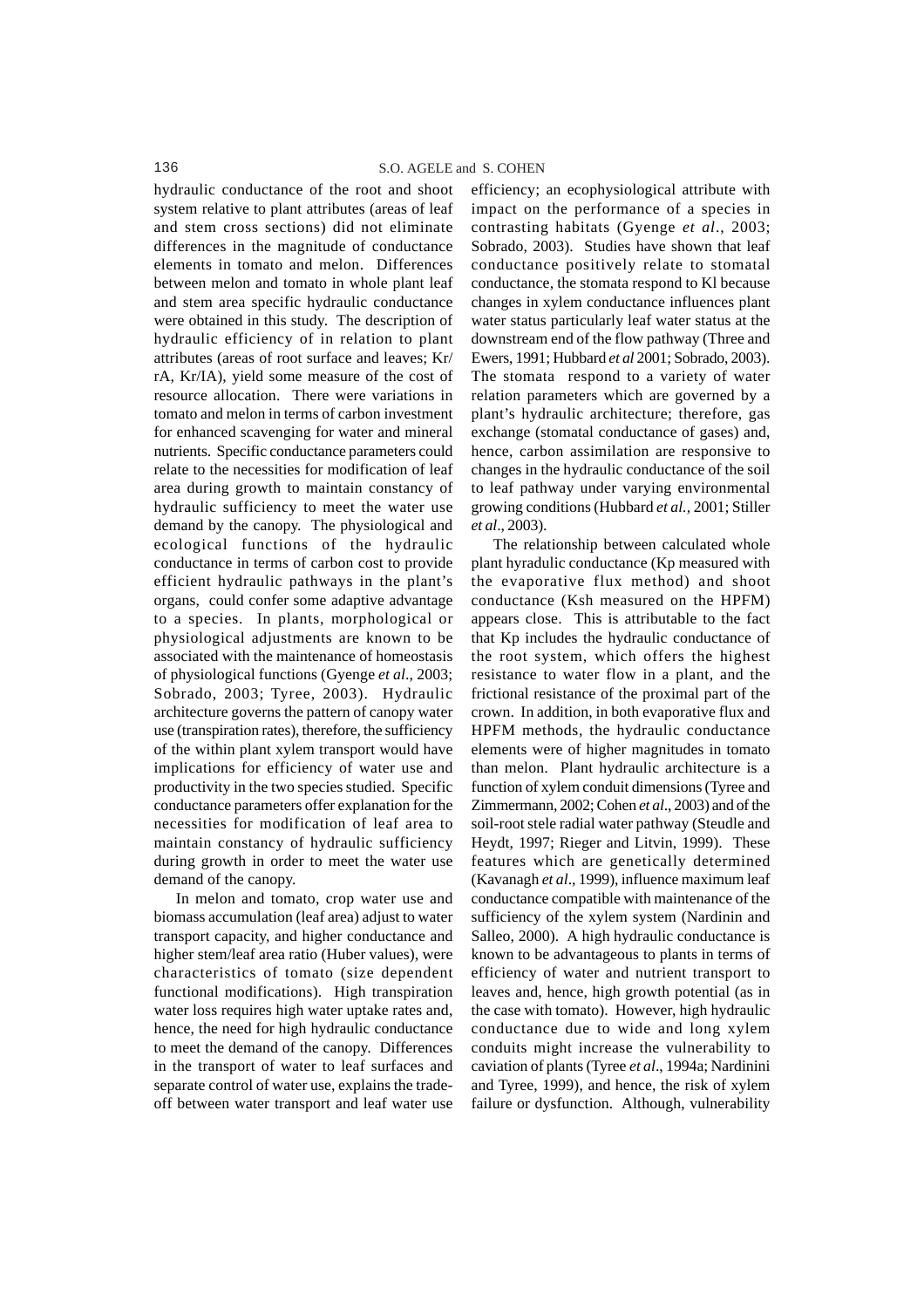hydraulic conductance of the root and shoot system relative to plant attributes (areas of leaf and stem cross sections) did not eliminate differences in the magnitude of conductance elements in tomato and melon. Differences between melon and tomato in whole plant leaf and stem area specific hydraulic conductance were obtained in this study. The description of hydraulic efficiency of in relation to plant attributes (areas of root surface and leaves; Kr/ rA, Kr/IA), yield some measure of the cost of resource allocation. There were variations in tomato and melon in terms of carbon investment for enhanced scavenging for water and mineral nutrients. Specific conductance parameters could relate to the necessities for modification of leaf area during growth to maintain constancy of hydraulic sufficiency to meet the water use demand by the canopy. The physiological and ecological functions of the hydraulic conductance in terms of carbon cost to provide efficient hydraulic pathways in the plant's organs, could confer some adaptive advantage to a species. In plants, morphological or physiological adjustments are known to be associated with the maintenance of homeostasis of physiological functions (Gyenge *et al*., 2003; Sobrado, 2003; Tyree, 2003). Hydraulic architecture governs the pattern of canopy water use (transpiration rates), therefore, the sufficiency of the within plant xylem transport would have implications for efficiency of water use and productivity in the two species studied. Specific conductance parameters offer explanation for the necessities for modification of leaf area to maintain constancy of hydraulic sufficiency during growth in order to meet the water use demand of the canopy.

In melon and tomato, crop water use and biomass accumulation (leaf area) adjust to water transport capacity, and higher conductance and higher stem/leaf area ratio (Huber values), were characteristics of tomato (size dependent functional modifications). High transpiration water loss requires high water uptake rates and, hence, the need for high hydraulic conductance to meet the demand of the canopy. Differences in the transport of water to leaf surfaces and separate control of water use, explains the tradeoff between water transport and leaf water use

efficiency; an ecophysiological attribute with impact on the performance of a species in contrasting habitats (Gyenge *et al*., 2003; Sobrado, 2003). Studies have shown that leaf conductance positively relate to stomatal conductance, the stomata respond to Kl because changes in xylem conductance influences plant water status particularly leaf water status at the downstream end of the flow pathway (Three and Ewers, 1991; Hubbard *et al* 2001; Sobrado, 2003). The stomata respond to a variety of water relation parameters which are governed by a plant's hydraulic architecture; therefore, gas exchange (stomatal conductance of gases) and, hence, carbon assimilation are responsive to changes in the hydraulic conductance of the soil to leaf pathway under varying environmental growing conditions (Hubbard *et al.,* 2001; Stiller *et al*., 2003).

The relationship between calculated whole plant hyradulic conductance (Kp measured with the evaporative flux method) and shoot conductance (Ksh measured on the HPFM) appears close. This is attributable to the fact that Kp includes the hydraulic conductance of the root system, which offers the highest resistance to water flow in a plant, and the frictional resistance of the proximal part of the crown. In addition, in both evaporative flux and HPFM methods, the hydraulic conductance elements were of higher magnitudes in tomato than melon. Plant hydraulic architecture is a function of xylem conduit dimensions (Tyree and Zimmermann, 2002; Cohen *et al*., 2003) and of the soil-root stele radial water pathway (Steudle and Heydt, 1997; Rieger and Litvin, 1999). These features which are genetically determined (Kavanagh *et al*., 1999), influence maximum leaf conductance compatible with maintenance of the sufficiency of the xylem system (Nardinin and Salleo, 2000). A high hydraulic conductance is known to be advantageous to plants in terms of efficiency of water and nutrient transport to leaves and, hence, high growth potential (as in the case with tomato). However, high hydraulic conductance due to wide and long xylem conduits might increase the vulnerability to caviation of plants (Tyree *et al*., 1994a; Nardinini and Tyree, 1999), and hence, the risk of xylem failure or dysfunction. Although, vulnerability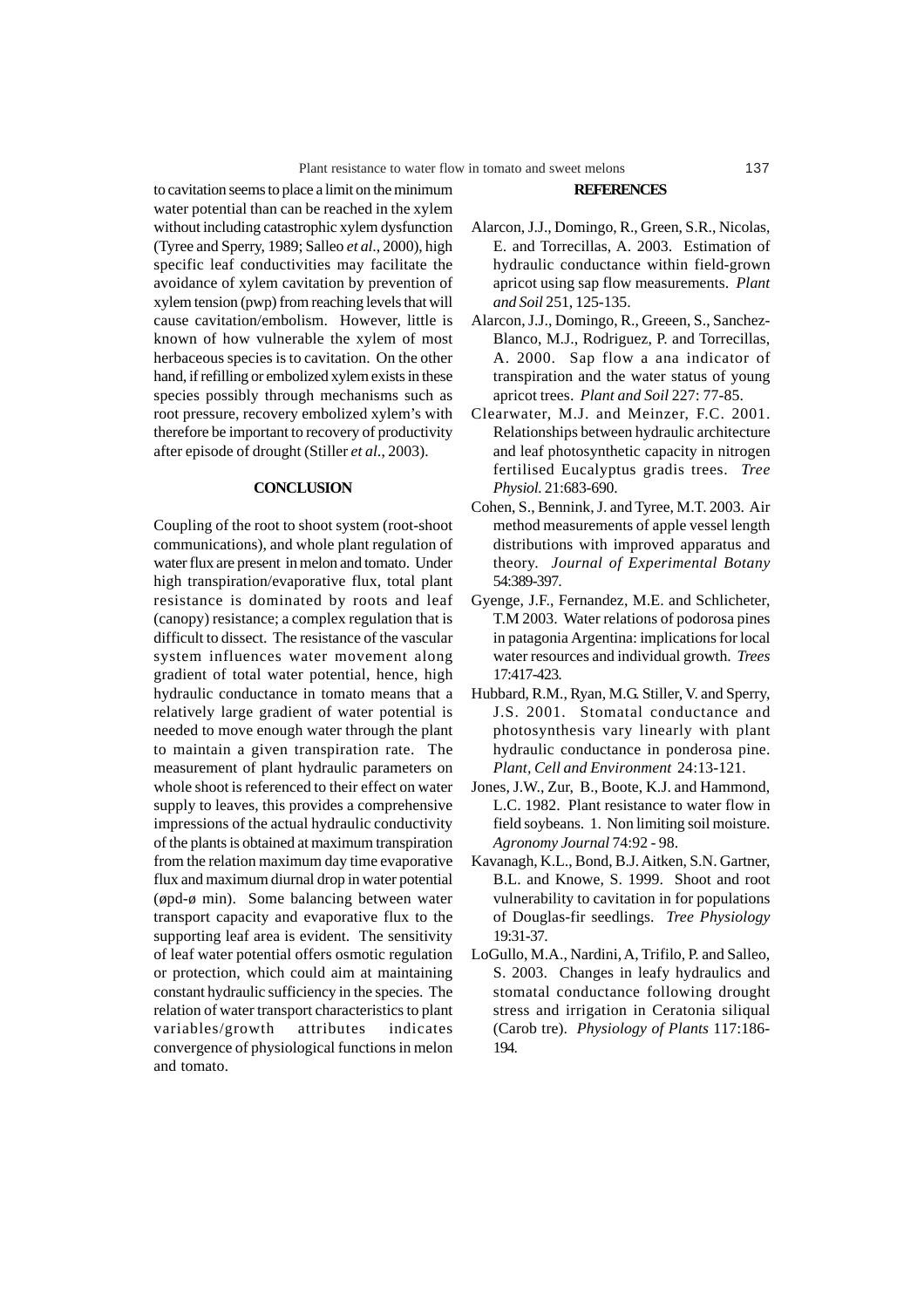to cavitation seems to place a limit on the minimum water potential than can be reached in the xylem without including catastrophic xylem dysfunction (Tyree and Sperry, 1989; Salleo *et al*., 2000), high specific leaf conductivities may facilitate the avoidance of xylem cavitation by prevention of xylem tension (pwp) from reaching levels that will cause cavitation/embolism. However, little is known of how vulnerable the xylem of most herbaceous species is to cavitation. On the other hand, if refilling or embolized xylem exists in these species possibly through mechanisms such as root pressure, recovery embolized xylem's with therefore be important to recovery of productivity after episode of drought (Stiller *et al*., 2003).

## **CONCLUSION**

Coupling of the root to shoot system (root-shoot communications), and whole plant regulation of water flux are present in melon and tomato. Under high transpiration/evaporative flux, total plant resistance is dominated by roots and leaf (canopy) resistance; a complex regulation that is difficult to dissect. The resistance of the vascular system influences water movement along gradient of total water potential, hence, high hydraulic conductance in tomato means that a relatively large gradient of water potential is needed to move enough water through the plant to maintain a given transpiration rate. The measurement of plant hydraulic parameters on whole shoot is referenced to their effect on water supply to leaves, this provides a comprehensive impressions of the actual hydraulic conductivity of the plants is obtained at maximum transpiration from the relation maximum day time evaporative flux and maximum diurnal drop in water potential (øpd-ø min). Some balancing between water transport capacity and evaporative flux to the supporting leaf area is evident. The sensitivity of leaf water potential offers osmotic regulation or protection, which could aim at maintaining constant hydraulic sufficiency in the species. The relation of water transport characteristics to plant variables/growth attributes indicates convergence of physiological functions in melon and tomato.

## **REFERENCES**

- Alarcon, J.J., Domingo, R., Green, S.R., Nicolas, E. and Torrecillas, A. 2003. Estimation of hydraulic conductance within field-grown apricot using sap flow measurements. *Plant and Soil* 251, 125-135.
- Alarcon, J.J., Domingo, R., Greeen, S., Sanchez-Blanco, M.J., Rodriguez, P. and Torrecillas, A. 2000. Sap flow a ana indicator of transpiration and the water status of young apricot trees. *Plant and Soil* 227: 77-85.
- Clearwater, M.J. and Meinzer, F.C. 2001. Relationships between hydraulic architecture and leaf photosynthetic capacity in nitrogen fertilised Eucalyptus gradis trees. *Tree Physiol.* 21:683-690.
- Cohen, S., Bennink, J. and Tyree, M.T. 2003. Air method measurements of apple vessel length distributions with improved apparatus and theory. *Journal of Experimental Botany* 54:389-397.
- Gyenge, J.F., Fernandez, M.E. and Schlicheter, T.M 2003. Water relations of podorosa pines in patagonia Argentina: implications for local water resources and individual growth. *Trees* 17:417-423.
- Hubbard, R.M., Ryan, M.G. Stiller, V. and Sperry, J.S. 2001. Stomatal conductance and photosynthesis vary linearly with plant hydraulic conductance in ponderosa pine. *Plant, Cell and Environment* 24:13-121.
- Jones, J.W., Zur, B., Boote, K.J. and Hammond, L.C. 1982. Plant resistance to water flow in field soybeans. 1. Non limiting soil moisture. *Agronomy Journal* 74:92 - 98.
- Kavanagh, K.L., Bond, B.J. Aitken, S.N. Gartner, B.L. and Knowe, S. 1999. Shoot and root vulnerability to cavitation in for populations of Douglas-fir seedlings. *Tree Physiology* 19:31-37.
- LoGullo, M.A., Nardini, A, Trifilo, P. and Salleo, S. 2003. Changes in leafy hydraulics and stomatal conductance following drought stress and irrigation in Ceratonia siliqual (Carob tre). *Physiology of Plants* 117:186- 194.